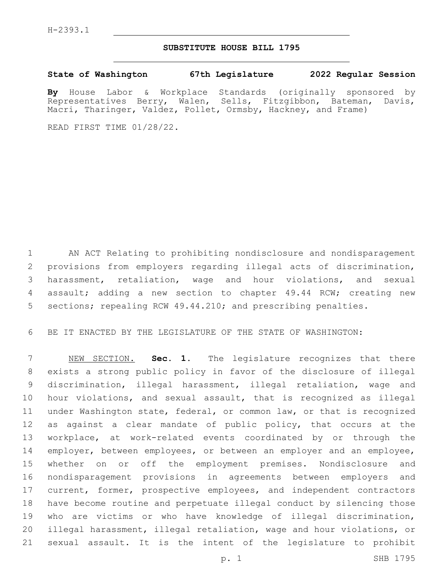## **SUBSTITUTE HOUSE BILL 1795**

**State of Washington 67th Legislature 2022 Regular Session**

By House Labor & Workplace Standards (originally sponsored by<br>Representatives Berry, Walen, Sells, Fitzgibbon, Bateman, Davis, Walen, Sells, Fitzgibbon, Bateman, Davis, Macri, Tharinger, Valdez, Pollet, Ormsby, Hackney, and Frame)

READ FIRST TIME 01/28/22.

 AN ACT Relating to prohibiting nondisclosure and nondisparagement provisions from employers regarding illegal acts of discrimination, harassment, retaliation, wage and hour violations, and sexual assault; adding a new section to chapter 49.44 RCW; creating new sections; repealing RCW 49.44.210; and prescribing penalties.

BE IT ENACTED BY THE LEGISLATURE OF THE STATE OF WASHINGTON:

 NEW SECTION. **Sec. 1.** The legislature recognizes that there exists a strong public policy in favor of the disclosure of illegal discrimination, illegal harassment, illegal retaliation, wage and hour violations, and sexual assault, that is recognized as illegal under Washington state, federal, or common law, or that is recognized as against a clear mandate of public policy, that occurs at the workplace, at work-related events coordinated by or through the 14 employer, between employees, or between an employer and an employee, whether on or off the employment premises. Nondisclosure and nondisparagement provisions in agreements between employers and current, former, prospective employees, and independent contractors have become routine and perpetuate illegal conduct by silencing those who are victims or who have knowledge of illegal discrimination, illegal harassment, illegal retaliation, wage and hour violations, or sexual assault. It is the intent of the legislature to prohibit

p. 1 SHB 1795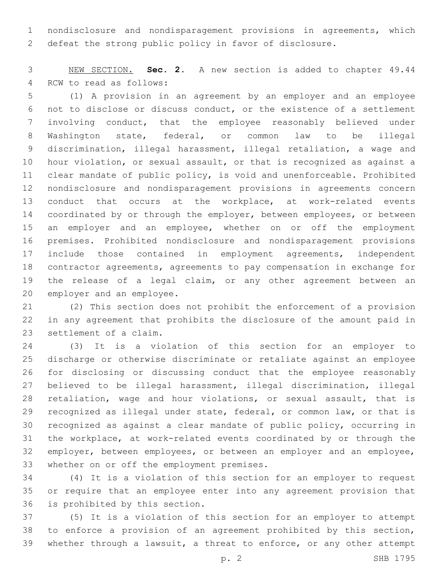nondisclosure and nondisparagement provisions in agreements, which defeat the strong public policy in favor of disclosure.

 NEW SECTION. **Sec. 2.** A new section is added to chapter 49.44 4 RCW to read as follows:

 (1) A provision in an agreement by an employer and an employee not to disclose or discuss conduct, or the existence of a settlement involving conduct, that the employee reasonably believed under Washington state, federal, or common law to be illegal discrimination, illegal harassment, illegal retaliation, a wage and hour violation, or sexual assault, or that is recognized as against a clear mandate of public policy, is void and unenforceable. Prohibited nondisclosure and nondisparagement provisions in agreements concern conduct that occurs at the workplace, at work-related events 14 coordinated by or through the employer, between employees, or between an employer and an employee, whether on or off the employment premises. Prohibited nondisclosure and nondisparagement provisions include those contained in employment agreements, independent contractor agreements, agreements to pay compensation in exchange for the release of a legal claim, or any other agreement between an 20 employer and an employee.

 (2) This section does not prohibit the enforcement of a provision in any agreement that prohibits the disclosure of the amount paid in 23 settlement of a claim.

 (3) It is a violation of this section for an employer to discharge or otherwise discriminate or retaliate against an employee for disclosing or discussing conduct that the employee reasonably believed to be illegal harassment, illegal discrimination, illegal retaliation, wage and hour violations, or sexual assault, that is recognized as illegal under state, federal, or common law, or that is recognized as against a clear mandate of public policy, occurring in the workplace, at work-related events coordinated by or through the 32 employer, between employees, or between an employer and an employee, 33 whether on or off the employment premises.

 (4) It is a violation of this section for an employer to request or require that an employee enter into any agreement provision that 36 is prohibited by this section.

 (5) It is a violation of this section for an employer to attempt to enforce a provision of an agreement prohibited by this section, whether through a lawsuit, a threat to enforce, or any other attempt